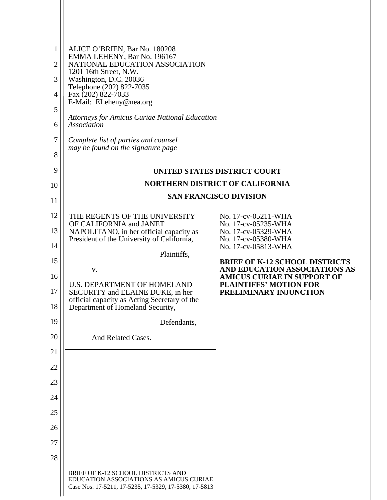| $\mathbf{1}$<br>$\overline{2}$<br>3<br>4<br>5<br>6<br>7<br>8 | ALICE O'BRIEN, Bar No. 180208<br>EMMA LEHENY, Bar No. 196167<br>NATIONAL EDUCATION ASSOCIATION<br>1201 16th Street, N.W.<br>Washington, D.C. 20036<br>Telephone (202) 822-7035<br>Fax (202) 822-7033<br>E-Mail: ELeheny@nea.org<br><b>Attorneys for Amicus Curiae National Education</b><br>Association<br>Complete list of parties and counsel<br>may be found on the signature page |                                                                     |
|--------------------------------------------------------------|---------------------------------------------------------------------------------------------------------------------------------------------------------------------------------------------------------------------------------------------------------------------------------------------------------------------------------------------------------------------------------------|---------------------------------------------------------------------|
| 9                                                            |                                                                                                                                                                                                                                                                                                                                                                                       | UNITED STATES DISTRICT COURT                                        |
| 10                                                           |                                                                                                                                                                                                                                                                                                                                                                                       | <b>NORTHERN DISTRICT OF CALIFORNIA</b>                              |
| 11                                                           |                                                                                                                                                                                                                                                                                                                                                                                       | <b>SAN FRANCISCO DIVISION</b>                                       |
| 12                                                           | THE REGENTS OF THE UNIVERSITY                                                                                                                                                                                                                                                                                                                                                         | No. 17-cv-05211-WHA                                                 |
| 13                                                           | OF CALIFORNIA and JANET<br>NAPOLITANO, in her official capacity as                                                                                                                                                                                                                                                                                                                    | No. 17-cv-05235-WHA<br>No. 17-cv-05329-WHA                          |
| 14                                                           | President of the University of California,                                                                                                                                                                                                                                                                                                                                            | No. 17-cv-05380-WHA<br>No. 17-cv-05813-WHA                          |
| 15                                                           | Plaintiffs,                                                                                                                                                                                                                                                                                                                                                                           | <b>BRIEF OF K-12 SCHOOL DISTRICTS</b>                               |
| 16                                                           | V.                                                                                                                                                                                                                                                                                                                                                                                    | AND EDUCATION ASSOCIATIONS AS<br><b>AMICUS CURIAE IN SUPPORT OF</b> |
| 17<br>18                                                     | <b>U.S. DEPARTMENT OF HOMELAND</b><br>SECURITY and ELAINE DUKE, in her<br>official capacity as Acting Secretary of the<br>Department of Homeland Security,                                                                                                                                                                                                                            | <b>PLAINTIFFS' MOTION FOR</b><br>PRELIMINARY INJUNCTION             |
| 19                                                           | Defendants,                                                                                                                                                                                                                                                                                                                                                                           |                                                                     |
| 20                                                           | And Related Cases.                                                                                                                                                                                                                                                                                                                                                                    |                                                                     |
| 21                                                           |                                                                                                                                                                                                                                                                                                                                                                                       |                                                                     |
| 22                                                           |                                                                                                                                                                                                                                                                                                                                                                                       |                                                                     |
| 23                                                           |                                                                                                                                                                                                                                                                                                                                                                                       |                                                                     |
| 24                                                           |                                                                                                                                                                                                                                                                                                                                                                                       |                                                                     |
| 25                                                           |                                                                                                                                                                                                                                                                                                                                                                                       |                                                                     |
| 26                                                           |                                                                                                                                                                                                                                                                                                                                                                                       |                                                                     |
| 27                                                           |                                                                                                                                                                                                                                                                                                                                                                                       |                                                                     |
| 28                                                           |                                                                                                                                                                                                                                                                                                                                                                                       |                                                                     |
|                                                              | BRIEF OF K-12 SCHOOL DISTRICTS AND<br>EDUCATION ASSOCIATIONS AS AMICUS CURIAE<br>Case Nos. 17-5211, 17-5235, 17-5329, 17-5380, 17-5813                                                                                                                                                                                                                                                |                                                                     |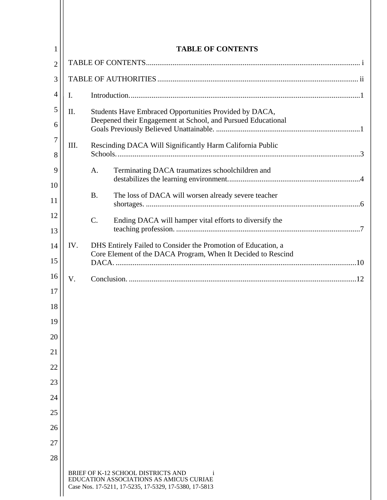| 1              | <b>TABLE OF CONTENTS</b> |                                                              |                                                                                                                                        |  |  |
|----------------|--------------------------|--------------------------------------------------------------|----------------------------------------------------------------------------------------------------------------------------------------|--|--|
| $\overline{2}$ |                          |                                                              |                                                                                                                                        |  |  |
| 3              |                          |                                                              |                                                                                                                                        |  |  |
| $\overline{4}$ | I.                       |                                                              |                                                                                                                                        |  |  |
| 5              | II.                      | Students Have Embraced Opportunities Provided by DACA,       |                                                                                                                                        |  |  |
| 6              |                          | Deepened their Engagement at School, and Pursued Educational |                                                                                                                                        |  |  |
| 7<br>8         | Ш.                       |                                                              | Rescinding DACA Will Significantly Harm California Public                                                                              |  |  |
| 9              |                          | A.                                                           | Terminating DACA traumatizes schoolchildren and                                                                                        |  |  |
| 10<br>11       |                          | <b>B.</b>                                                    | The loss of DACA will worsen already severe teacher                                                                                    |  |  |
| 12<br>13       |                          | $C$ .                                                        | Ending DACA will hamper vital efforts to diversify the                                                                                 |  |  |
| 14<br>15       | IV.                      |                                                              | DHS Entirely Failed to Consider the Promotion of Education, a<br>Core Element of the DACA Program, When It Decided to Rescind          |  |  |
| 16             | V.                       |                                                              |                                                                                                                                        |  |  |
| 17             |                          |                                                              |                                                                                                                                        |  |  |
| 18             |                          |                                                              |                                                                                                                                        |  |  |
| 19             |                          |                                                              |                                                                                                                                        |  |  |
| 20             |                          |                                                              |                                                                                                                                        |  |  |
| 21             |                          |                                                              |                                                                                                                                        |  |  |
| 22             |                          |                                                              |                                                                                                                                        |  |  |
| 23             |                          |                                                              |                                                                                                                                        |  |  |
| 24             |                          |                                                              |                                                                                                                                        |  |  |
| 25             |                          |                                                              |                                                                                                                                        |  |  |
| 26             |                          |                                                              |                                                                                                                                        |  |  |
| 27             |                          |                                                              |                                                                                                                                        |  |  |
| 28             |                          |                                                              |                                                                                                                                        |  |  |
|                |                          |                                                              | BRIEF OF K-12 SCHOOL DISTRICTS AND<br>EDUCATION ASSOCIATIONS AS AMICUS CURIAE<br>Case Nos. 17-5211, 17-5235, 17-5329, 17-5380, 17-5813 |  |  |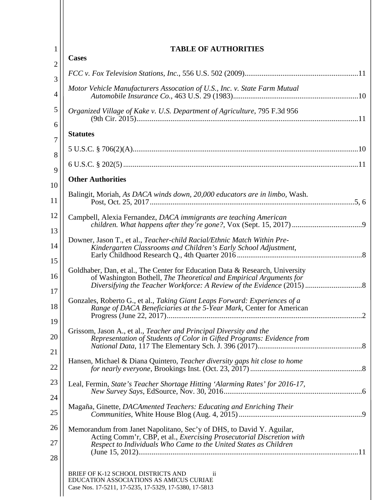| $\mathbf{1}$        | <b>TABLE OF AUTHORITIES</b>                                                                                                                                                                                      |
|---------------------|------------------------------------------------------------------------------------------------------------------------------------------------------------------------------------------------------------------|
| $\overline{2}$      | <b>Cases</b>                                                                                                                                                                                                     |
| 3                   |                                                                                                                                                                                                                  |
| $\overline{4}$      | Motor Vehicle Manufacturers Assocation of U.S., Inc. v. State Farm Mutual                                                                                                                                        |
| 5                   | Organized Village of Kake v. U.S. Department of Agriculture, 795 F.3d 956                                                                                                                                        |
| 6<br>$\overline{7}$ | <b>Statutes</b>                                                                                                                                                                                                  |
| 8                   |                                                                                                                                                                                                                  |
| 9                   |                                                                                                                                                                                                                  |
| 10                  | <b>Other Authorities</b>                                                                                                                                                                                         |
| 11                  | Balingit, Moriah, As DACA winds down, 20,000 educators are in limbo, Wash.                                                                                                                                       |
| 12<br>13            | Campbell, Alexia Fernandez, DACA immigrants are teaching American                                                                                                                                                |
| 14                  | Downer, Jason T., et al., Teacher-child Racial/Ethnic Match Within Pre-<br>Kindergarten Classrooms and Children's Early School Adjustment,                                                                       |
| 15<br>16            | Goldhaber, Dan, et al., The Center for Education Data & Research, University<br>of Washington Bothell, The Theoretical and Empirical Arguments for                                                               |
| 17<br>18            | Gonzales, Roberto G., et al., Taking Giant Leaps Forward: Experiences of a<br>Range of DACA Beneficiaries at the 5-Year Mark, Center for American                                                                |
| 19<br>20<br>21      | Grissom, Jason A., et al., Teacher and Principal Diversity and the<br>Representation of Students of Color in Gifted Programs: Evidence from                                                                      |
| 22                  | Hansen, Michael & Diana Quintero, Teacher diversity gaps hit close to home                                                                                                                                       |
| 23                  | Leal, Fermin, State's Teacher Shortage Hitting 'Alarming Rates' for 2016-17,                                                                                                                                     |
| 24<br>25            | Magaña, Ginette, DACAmented Teachers: Educating and Enriching Their                                                                                                                                              |
| 26<br>27            | Memorandum from Janet Napolitano, Sec'y of DHS, to David Y. Aguilar,<br>Acting Comm'r, CBP, et al., Exercising Prosecutorial Discretion with<br>Respect to Individuals Who Came to the United States as Children |
| 28                  | BRIEF OF K-12 SCHOOL DISTRICTS AND<br>$\overline{\mathbf{u}}$<br>EDUCATION ASSOCIATIONS AS AMICUS CURIAE<br>Case Nos. 17-5211, 17-5235, 17-5329, 17-5380, 17-5813                                                |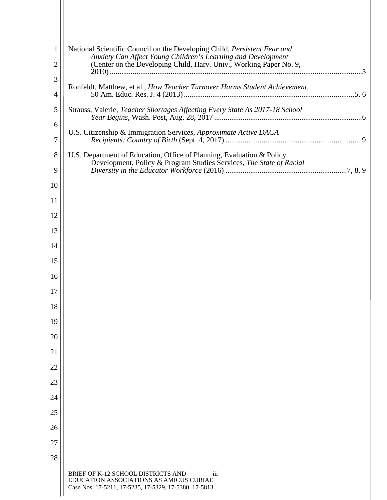| $\mathbf{1}$        | National Scientific Council on the Developing Child, Persistent Fear and<br>Anxiety Can Affect Young Children's Learning and Development      |
|---------------------|-----------------------------------------------------------------------------------------------------------------------------------------------|
| $\overline{2}$      | (Center on the Developing Child, Harv. Univ., Working Paper No. 9,                                                                            |
| 3<br>$\overline{4}$ | Ronfeldt, Matthew, et al., How Teacher Turnover Harms Student Achievement,                                                                    |
|                     |                                                                                                                                               |
| 5<br>6              | Strauss, Valerie, Teacher Shortages Affecting Every State As 2017-18 School                                                                   |
| 7                   | U.S. Citizenship & Immigration Services, Approximate Active DACA                                                                              |
| 8                   | U.S. Department of Education, Office of Planning, Evaluation & Policy                                                                         |
| 9                   | Development, Policy & Program Studies Services, The State of Racial                                                                           |
| 10                  |                                                                                                                                               |
| 11                  |                                                                                                                                               |
| 12                  |                                                                                                                                               |
| 13                  |                                                                                                                                               |
| 14                  |                                                                                                                                               |
| 15                  |                                                                                                                                               |
| 16                  |                                                                                                                                               |
| 17                  |                                                                                                                                               |
| 18                  |                                                                                                                                               |
| 19                  |                                                                                                                                               |
| 20                  |                                                                                                                                               |
| 21                  |                                                                                                                                               |
| 22                  |                                                                                                                                               |
| 23                  |                                                                                                                                               |
| 24                  |                                                                                                                                               |
| 25                  |                                                                                                                                               |
| 26                  |                                                                                                                                               |
| 27                  |                                                                                                                                               |
| 28                  |                                                                                                                                               |
|                     | BRIEF OF K-12 SCHOOL DISTRICTS AND<br>iii<br>EDUCATION ASSOCIATIONS AS AMICUS CURIAE<br>Case Nos. 17-5211, 17-5235, 17-5329, 17-5380, 17-5813 |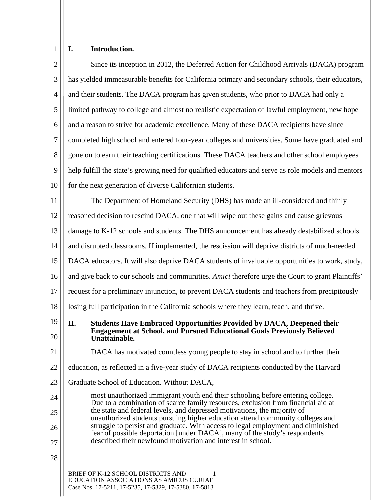# **I. Introduction.**

| $\overline{2}$ | Since its inception in 2012, the Deferred Action for Childhood Arrivals (DACA) program                                                                                                 |  |  |
|----------------|----------------------------------------------------------------------------------------------------------------------------------------------------------------------------------------|--|--|
| 3              | has yielded immeasurable benefits for California primary and secondary schools, their educators,                                                                                       |  |  |
| 4              | and their students. The DACA program has given students, who prior to DACA had only a                                                                                                  |  |  |
| 5              | limited pathway to college and almost no realistic expectation of lawful employment, new hope                                                                                          |  |  |
| 6              | and a reason to strive for academic excellence. Many of these DACA recipients have since                                                                                               |  |  |
| 7              | completed high school and entered four-year colleges and universities. Some have graduated and                                                                                         |  |  |
| 8              | gone on to earn their teaching certifications. These DACA teachers and other school employees                                                                                          |  |  |
| 9              | help fulfill the state's growing need for qualified educators and serve as role models and mentors                                                                                     |  |  |
| 10             | for the next generation of diverse Californian students.                                                                                                                               |  |  |
| 11             | The Department of Homeland Security (DHS) has made an ill-considered and thinly                                                                                                        |  |  |
| 12             | reasoned decision to rescind DACA, one that will wipe out these gains and cause grievous                                                                                               |  |  |
| 13             | damage to K-12 schools and students. The DHS announcement has already destabilized schools                                                                                             |  |  |
| 14             | and disrupted classrooms. If implemented, the rescission will deprive districts of much-needed                                                                                         |  |  |
| 15             | DACA educators. It will also deprive DACA students of invaluable opportunities to work, study,                                                                                         |  |  |
| 16             | and give back to our schools and communities. Amici therefore urge the Court to grant Plaintiffs'                                                                                      |  |  |
| 17             | request for a preliminary injunction, to prevent DACA students and teachers from precipitously                                                                                         |  |  |
| 18             | losing full participation in the California schools where they learn, teach, and thrive.                                                                                               |  |  |
| 19<br>20       | <b>Students Have Embraced Opportunities Provided by DACA, Deepened their</b><br>II.<br><b>Engagement at School, and Pursued Educational Goals Previously Believed</b><br>Unattainable. |  |  |
| 21             | DACA has motivated countless young people to stay in school and to further their                                                                                                       |  |  |
| 22             | education, as reflected in a five-year study of DACA recipients conducted by the Harvard                                                                                               |  |  |
| 23             | Graduate School of Education. Without DACA,                                                                                                                                            |  |  |
| 24             | most unauthorized immigrant youth end their schooling before entering college.<br>Due to a combination of scarce family resources, exclusion from financial aid at                     |  |  |
| 25             | the state and federal levels, and depressed motivations, the majority of<br>unauthorized students pursuing higher education attend community colleges and                              |  |  |
| 26             | struggle to persist and graduate. With access to legal employment and diminished<br>fear of possible deportation [under DACA], many of the study's respondents                         |  |  |
| 27             | described their newfound motivation and interest in school.                                                                                                                            |  |  |
| 28             |                                                                                                                                                                                        |  |  |
|                | BRIEF OF K-12 SCHOOL DISTRICTS AND<br>EDUCATION ASSOCIATIONS AS AMICUS CURIAE<br>Case Nos. 17-5211, 17-5235, 17-5329, 17-5380, 17-5813                                                 |  |  |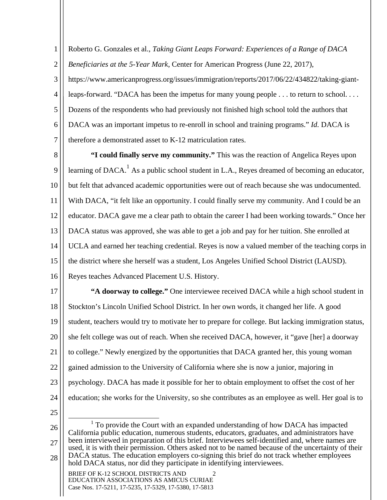1 2 Roberto G. Gonzales et al., *Taking Giant Leaps Forward: Experiences of a Range of DACA Beneficiaries at the 5-Year Mark*, Center for American Progress (June 22, 2017),

3 4 5 6 7 https://www.americanprogress.org/issues/immigration/reports/2017/06/22/434822/taking-giantleaps-forward. "DACA has been the impetus for many young people . . . to return to school. . . . Dozens of the respondents who had previously not finished high school told the authors that DACA was an important impetus to re-enroll in school and training programs." *Id.* DACA is therefore a demonstrated asset to K-12 matriculation rates.

8 9 10 11 12 13 14 15 16 **"I could finally serve my community."** This was the reaction of Angelica Reyes upon learning of DACA.<sup>1</sup> As a public school student in L.A., Reyes dreamed of becoming an educator, but felt that advanced academic opportunities were out of reach because she was undocumented. With DACA, "it felt like an opportunity. I could finally serve my community. And I could be an educator. DACA gave me a clear path to obtain the career I had been working towards." Once her DACA status was approved, she was able to get a job and pay for her tuition. She enrolled at UCLA and earned her teaching credential. Reyes is now a valued member of the teaching corps in the district where she herself was a student, Los Angeles Unified School District (LAUSD). Reyes teaches Advanced Placement U.S. History.

17 18 19 20 21 22 23 24 **"A doorway to college."** One interviewee received DACA while a high school student in Stockton's Lincoln Unified School District. In her own words, it changed her life. A good student, teachers would try to motivate her to prepare for college. But lacking immigration status, she felt college was out of reach. When she received DACA, however, it "gave [her] a doorway to college." Newly energized by the opportunities that DACA granted her, this young woman gained admission to the University of California where she is now a junior, majoring in psychology. DACA has made it possible for her to obtain employment to offset the cost of her education; she works for the University, so she contributes as an employee as well. Her goal is to

25

26 27 28 <u>1</u>  $1$  To provide the Court with an expanded understanding of how DACA has impacted California public education, numerous students, educators, graduates, and administrators have been interviewed in preparation of this brief. Interviewees self-identified and, where names are used, it is with their permission. Others asked not to be named because of the uncertainty of their DACA status. The education employers co-signing this brief do not track whether employees hold DACA status, nor did they participate in identifying interviewees.

BRIEF OF K-12 SCHOOL DISTRICTS AND 2 EDUCATION ASSOCIATIONS AS AMICUS CURIAE Case Nos. 17-5211, 17-5235, 17-5329, 17-5380, 17-5813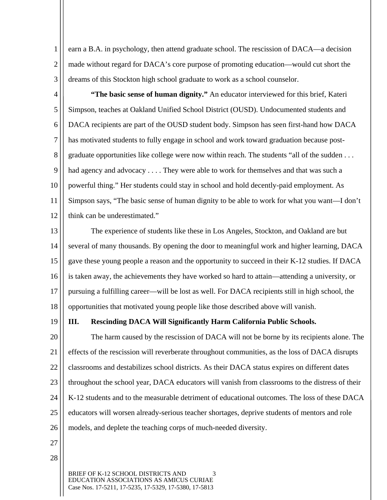1 2 3 earn a B.A. in psychology, then attend graduate school. The rescission of DACA—a decision made without regard for DACA's core purpose of promoting education—would cut short the dreams of this Stockton high school graduate to work as a school counselor.

4 5 6 7 8 9 10 11 12 **"The basic sense of human dignity."** An educator interviewed for this brief, Kateri Simpson, teaches at Oakland Unified School District (OUSD). Undocumented students and DACA recipients are part of the OUSD student body. Simpson has seen first-hand how DACA has motivated students to fully engage in school and work toward graduation because postgraduate opportunities like college were now within reach. The students "all of the sudden . . . had agency and advocacy . . . . They were able to work for themselves and that was such a powerful thing." Her students could stay in school and hold decently-paid employment. As Simpson says, "The basic sense of human dignity to be able to work for what you want—I don't think can be underestimated."

13 14 15 16 17 18 The experience of students like these in Los Angeles, Stockton, and Oakland are but several of many thousands. By opening the door to meaningful work and higher learning, DACA gave these young people a reason and the opportunity to succeed in their K-12 studies. If DACA is taken away, the achievements they have worked so hard to attain—attending a university, or pursuing a fulfilling career—will be lost as well. For DACA recipients still in high school, the opportunities that motivated young people like those described above will vanish.

19

#### **III. Rescinding DACA Will Significantly Harm California Public Schools.**

20 21 22 23 24 25 26 The harm caused by the rescission of DACA will not be borne by its recipients alone. The effects of the rescission will reverberate throughout communities, as the loss of DACA disrupts classrooms and destabilizes school districts. As their DACA status expires on different dates throughout the school year, DACA educators will vanish from classrooms to the distress of their K-12 students and to the measurable detriment of educational outcomes. The loss of these DACA educators will worsen already-serious teacher shortages, deprive students of mentors and role models, and deplete the teaching corps of much-needed diversity.

- 27
- 28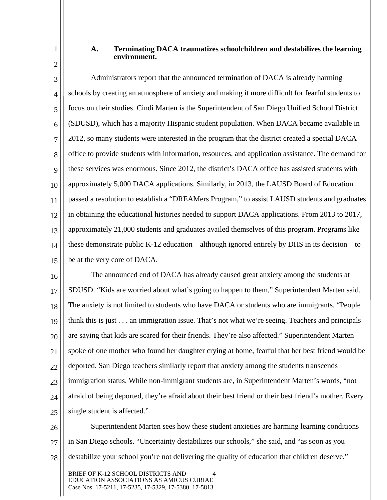#### **A. Terminating DACA traumatizes schoolchildren and destabilizes the learning environment.**

3 4 5 6 7 8 9 10 11 12 13 14 15 Administrators report that the announced termination of DACA is already harming schools by creating an atmosphere of anxiety and making it more difficult for fearful students to focus on their studies. Cindi Marten is the Superintendent of San Diego Unified School District (SDUSD), which has a majority Hispanic student population. When DACA became available in 2012, so many students were interested in the program that the district created a special DACA office to provide students with information, resources, and application assistance. The demand for these services was enormous. Since 2012, the district's DACA office has assisted students with approximately 5,000 DACA applications. Similarly, in 2013, the LAUSD Board of Education passed a resolution to establish a "DREAMers Program," to assist LAUSD students and graduates in obtaining the educational histories needed to support DACA applications. From 2013 to 2017, approximately 21,000 students and graduates availed themselves of this program. Programs like these demonstrate public K-12 education—although ignored entirely by DHS in its decision—to be at the very core of DACA.

16 17 18 19 20 21 22 23 24 25 The announced end of DACA has already caused great anxiety among the students at SDUSD. "Kids are worried about what's going to happen to them," Superintendent Marten said. The anxiety is not limited to students who have DACA or students who are immigrants. "People think this is just . . . an immigration issue. That's not what we're seeing. Teachers and principals are saying that kids are scared for their friends. They're also affected." Superintendent Marten spoke of one mother who found her daughter crying at home, fearful that her best friend would be deported. San Diego teachers similarly report that anxiety among the students transcends immigration status. While non-immigrant students are, in Superintendent Marten's words, "not afraid of being deported, they're afraid about their best friend or their best friend's mother. Every single student is affected."

26 27 28 Superintendent Marten sees how these student anxieties are harming learning conditions in San Diego schools. "Uncertainty destabilizes our schools," she said, and "as soon as you destabilize your school you're not delivering the quality of education that children deserve."

BRIEF OF K-12 SCHOOL DISTRICTS AND 4 EDUCATION ASSOCIATIONS AS AMICUS CURIAE Case Nos. 17-5211, 17-5235, 17-5329, 17-5380, 17-5813

1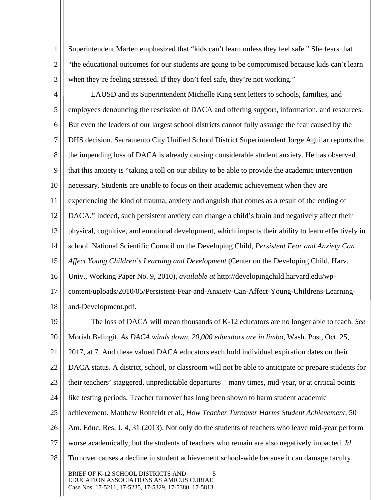1 2 3 Superintendent Marten emphasized that "kids can't learn unless they feel safe." She fears that "the educational outcomes for our students are going to be compromised because kids can't learn when they're feeling stressed. If they don't feel safe, they're not working."

4 5 6 7 8 9 10 11 12 13 14 15 16 17 18 19 20 21 22 23 24 25 26 LAUSD and its Superintendent Michelle King sent letters to schools, families, and employees denouncing the rescission of DACA and offering support, information, and resources. But even the leaders of our largest school districts cannot fully assuage the fear caused by the DHS decision. Sacramento City Unified School District Superintendent Jorge Aguilar reports that the impending loss of DACA is already causing considerable student anxiety. He has observed that this anxiety is "taking a toll on our ability to be able to provide the academic intervention necessary. Students are unable to focus on their academic achievement when they are experiencing the kind of trauma, anxiety and anguish that comes as a result of the ending of DACA." Indeed, such persistent anxiety can change a child's brain and negatively affect their physical, cognitive, and emotional development, which impacts their ability to learn effectively in school. National Scientific Council on the Developing Child, *Persistent Fear and Anxiety Can Affect Young Children's Learning and Development* (Center on the Developing Child, Harv. Univ., Working Paper No. 9, 2010), *available at* http://developingchild.harvard.edu/wpcontent/uploads/2010/05/Persistent-Fear-and-Anxiety-Can-Affect-Young-Childrens-Learningand-Development.pdf. The loss of DACA will mean thousands of K-12 educators are no longer able to teach. *See* Moriah Balingit, *As DACA winds down, 20,000 educators are in limbo,* Wash. Post, Oct. 25, 2017, at 7. And these valued DACA educators each hold individual expiration dates on their DACA status. A district, school, or classroom will not be able to anticipate or prepare students for their teachers' staggered, unpredictable departures—many times, mid-year, or at critical points like testing periods. Teacher turnover has long been shown to harm student academic achievement. Matthew Ronfeldt et al., *How Teacher Turnover Harms Student Achievement*, 50 Am. Educ. Res. J. 4, 31 (2013). Not only do the students of teachers who leave mid-year perform

- 27 worse academically, but the students of teachers who remain are also negatively impacted. *Id*.
- 28 Turnover causes a decline in student achievement school-wide because it can damage faculty

BRIEF OF K-12 SCHOOL DISTRICTS AND 5 EDUCATION ASSOCIATIONS AS AMICUS CURIAE Case Nos. 17-5211, 17-5235, 17-5329, 17-5380, 17-5813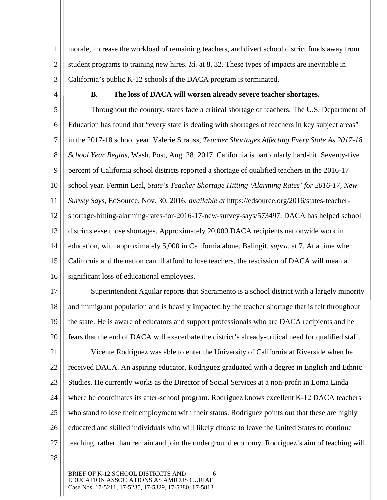3 morale, increase the workload of remaining teachers, and divert school district funds away from student programs to training new hires. *Id.* at 8, 32. These types of impacts are inevitable in California's public K-12 schools if the DACA program is terminated.

4

1

2

#### **B. The loss of DACA will worsen already severe teacher shortages.**

5 6 7 8 9 10 11 12 13 14 15 16 Throughout the country, states face a critical shortage of teachers. The U.S. Department of Education has found that "every state is dealing with shortages of teachers in key subject areas" in the 2017-18 school year. Valerie Strauss, *Teacher Shortages Affecting Every State As 2017-18 School Year Begins*, Wash. Post, Aug. 28, 2017. California is particularly hard-hit. Seventy-five percent of California school districts reported a shortage of qualified teachers in the 2016-17 school year. Fermin Leal, *State's Teacher Shortage Hitting 'Alarming Rates' for 2016-17, New Survey Says*, EdSource, Nov. 30, 2016, *available at* https://edsource.org/2016/states-teachershortage-hitting-alarming-rates-for-2016-17-new-survey-says/573497. DACA has helped school districts ease those shortages. Approximately 20,000 DACA recipients nationwide work in education, with approximately 5,000 in California alone. Balingit, *supra*, at 7. At a time when California and the nation can ill afford to lose teachers, the rescission of DACA will mean a significant loss of educational employees.

17 18 19 20 Superintendent Aguilar reports that Sacramento is a school district with a largely minority and immigrant population and is heavily impacted by the teacher shortage that is felt throughout the state. He is aware of educators and support professionals who are DACA recipients and he fears that the end of DACA will exacerbate the district's already-critical need for qualified staff.

21 22 23 24 25 26 27 Vicente Rodriguez was able to enter the University of California at Riverside when he received DACA. An aspiring educator, Rodriguez graduated with a degree in English and Ethnic Studies. He currently works as the Director of Social Services at a non-profit in Loma Linda where he coordinates its after-school program. Rodriguez knows excellent K-12 DACA teachers who stand to lose their employment with their status. Rodriguez points out that these are highly educated and skilled individuals who will likely choose to leave the United States to continue teaching, rather than remain and join the underground economy. Rodriguez's aim of teaching will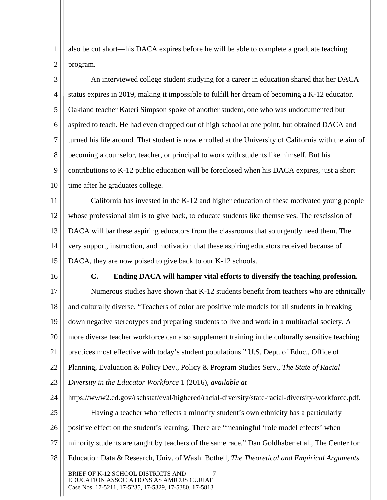1 2 also be cut short—his DACA expires before he will be able to complete a graduate teaching program.

3 4 5 6 7 8 9 10 An interviewed college student studying for a career in education shared that her DACA status expires in 2019, making it impossible to fulfill her dream of becoming a K-12 educator. Oakland teacher Kateri Simpson spoke of another student, one who was undocumented but aspired to teach. He had even dropped out of high school at one point, but obtained DACA and turned his life around. That student is now enrolled at the University of California with the aim of becoming a counselor, teacher, or principal to work with students like himself. But his contributions to K-12 public education will be foreclosed when his DACA expires, just a short time after he graduates college.

11 12 13 14 15 California has invested in the K-12 and higher education of these motivated young people whose professional aim is to give back, to educate students like themselves. The rescission of DACA will bar these aspiring educators from the classrooms that so urgently need them. The very support, instruction, and motivation that these aspiring educators received because of DACA, they are now poised to give back to our K-12 schools.

16

## **C. Ending DACA will hamper vital efforts to diversify the teaching profession.**

17 18 19 20 21 22 23 Numerous studies have shown that K-12 students benefit from teachers who are ethnically and culturally diverse. "Teachers of color are positive role models for all students in breaking down negative stereotypes and preparing students to live and work in a multiracial society. A more diverse teacher workforce can also supplement training in the culturally sensitive teaching practices most effective with today's student populations." U.S. Dept. of Educ., Office of Planning, Evaluation & Policy Dev., Policy & Program Studies Serv., *The State of Racial Diversity in the Educator Workforce* 1 (2016), *available at* 

24 25 26 27 28 BRIEF OF K-12 SCHOOL DISTRICTS AND 7 EDUCATION ASSOCIATIONS AS AMICUS CURIAE Case Nos. 17-5211, 17-5235, 17-5329, 17-5380, 17-5813 https://www2.ed.gov/rschstat/eval/highered/racial-diversity/state-racial-diversity-workforce.pdf. Having a teacher who reflects a minority student's own ethnicity has a particularly positive effect on the student's learning. There are "meaningful 'role model effects' when minority students are taught by teachers of the same race." Dan Goldhaber et al., The Center for Education Data & Research, Univ. of Wash. Bothell, *The Theoretical and Empirical Arguments*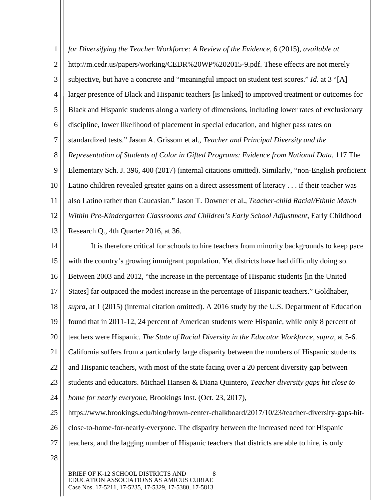1 2 3 4 5 6 7 8 9 10 11 12 13 *for Diversifying the Teacher Workforce: A Review of the Evidence*, 6 (2015), *available at* http://m.cedr.us/papers/working/CEDR%20WP%202015-9.pdf. These effects are not merely subjective, but have a concrete and "meaningful impact on student test scores." *Id.* at 3 "[A] larger presence of Black and Hispanic teachers [is linked] to improved treatment or outcomes for Black and Hispanic students along a variety of dimensions, including lower rates of exclusionary discipline, lower likelihood of placement in special education, and higher pass rates on standardized tests." Jason A. Grissom et al., *Teacher and Principal Diversity and the Representation of Students of Color in Gifted Programs: Evidence from National Data*, 117 The Elementary Sch. J. 396, 400 (2017) (internal citations omitted). Similarly, "non-English proficient Latino children revealed greater gains on a direct assessment of literacy . . . if their teacher was also Latino rather than Caucasian." Jason T. Downer et al., *Teacher-child Racial/Ethnic Match Within Pre-Kindergarten Classrooms and Children's Early School Adjustment*, Early Childhood Research Q., 4th Quarter 2016, at 36.

14 15 16 17 18 19 20 21 22 23 24 25 It is therefore critical for schools to hire teachers from minority backgrounds to keep pace with the country's growing immigrant population. Yet districts have had difficulty doing so. Between 2003 and 2012, "the increase in the percentage of Hispanic students [in the United States] far outpaced the modest increase in the percentage of Hispanic teachers." Goldhaber, *supra*, at 1 (2015) (internal citation omitted). A 2016 study by the U.S. Department of Education found that in 2011-12, 24 percent of American students were Hispanic, while only 8 percent of teachers were Hispanic. *The State of Racial Diversity in the Educator Workforce*, *supra*, at 5-6. California suffers from a particularly large disparity between the numbers of Hispanic students and Hispanic teachers, with most of the state facing over a 20 percent diversity gap between students and educators. Michael Hansen & Diana Quintero, *Teacher diversity gaps hit close to home for nearly everyone*, Brookings Inst. (Oct. 23, 2017), https://www.brookings.edu/blog/brown-center-chalkboard/2017/10/23/teacher-diversity-gaps-hit-

- 26 close-to-home-for-nearly-everyone. The disparity between the increased need for Hispanic
- 27 teachers, and the lagging number of Hispanic teachers that districts are able to hire, is only
- 28

BRIEF OF K-12 SCHOOL DISTRICTS AND 8 EDUCATION ASSOCIATIONS AS AMICUS CURIAE Case Nos. 17-5211, 17-5235, 17-5329, 17-5380, 17-5813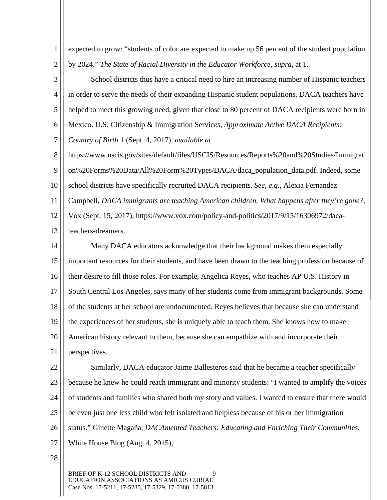1 2 expected to grow: "students of color are expected to make up 56 percent of the student population by 2024." *The State of Racial Diversity in the Educator Workforce*, *supra*, at 1.

3 4 5 6 School districts thus have a critical need to hire an increasing number of Hispanic teachers in order to serve the needs of their expanding Hispanic student populations. DACA teachers have helped to meet this growing need, given that close to 80 percent of DACA recipients were born in Mexico. U.S. Citizenship & Immigration Servic*es, Approximate Active DACA Recipients:* 

7 *Country of Birth* 1 (Sept. 4, 2017), *available at* 

8 9 https://www.uscis.gov/sites/default/files/USCIS/Resources/Reports%20and%20Studies/Immigrati on%20Forms%20Data/All%20Form%20Types/DACA/daca\_population\_data.pdf. Indeed, some

10 school districts have specifically recruited DACA recipients. *See, e.g.,* Alexia Fernandez

11 Campbell, *DACA immigrants are teaching American children. What happens after they're gone?*,

12 Vox (Sept. 15, 2017), https://www.vox.com/policy-and-politics/2017/9/15/16306972/daca-

13 teachers-dreamers.

14 15 16 17 18 19 20 21 Many DACA educators acknowledge that their background makes them especially important resources for their students, and have been drawn to the teaching profession because of their desire to fill those roles. For example, Angelica Reyes, who teaches AP U.S. History in South Central Los Angeles, says many of her students come from immigrant backgrounds. Some of the students at her school are undocumented. Reyes believes that because she can understand the experiences of her students, she is uniquely able to teach them. She knows how to make American history relevant to them, because she can empathize with and incorporate their perspectives.

22 23 24 25 26 27 Similarly, DACA educator Jaime Ballesteros said that he became a teacher specifically because he knew he could reach immigrant and minority students: "I wanted to amplify the voices of students and families who shared both my story and values. I wanted to ensure that there would be even just one less child who felt isolated and helpless because of his or her immigration status." Ginette Magaña, *DACAmented Teachers: Educating and Enriching Their Communities*, White House Blog (Aug. 4, 2015),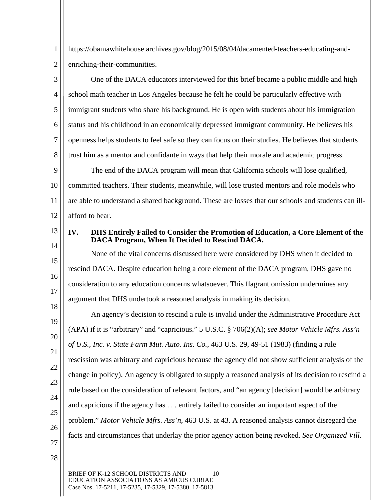1 2 https://obamawhitehouse.archives.gov/blog/2015/08/04/dacamented-teachers-educating-andenriching-their-communities.

3 4 5 6 7 8 One of the DACA educators interviewed for this brief became a public middle and high school math teacher in Los Angeles because he felt he could be particularly effective with immigrant students who share his background. He is open with students about his immigration status and his childhood in an economically depressed immigrant community. He believes his openness helps students to feel safe so they can focus on their studies. He believes that students trust him as a mentor and confidante in ways that help their morale and academic progress.

9 10 11 12 The end of the DACA program will mean that California schools will lose qualified, committed teachers. Their students, meanwhile, will lose trusted mentors and role models who are able to understand a shared background. These are losses that our schools and students can illafford to bear.

13 14

15

16

17

18

## **IV. DHS Entirely Failed to Consider the Promotion of Education, a Core Element of the DACA Program, When It Decided to Rescind DACA.**

None of the vital concerns discussed here were considered by DHS when it decided to rescind DACA. Despite education being a core element of the DACA program, DHS gave no consideration to any education concerns whatsoever. This flagrant omission undermines any argument that DHS undertook a reasoned analysis in making its decision.

19 20 21 22 23 24 25 26 27 An agency's decision to rescind a rule is invalid under the Administrative Procedure Act (APA) if it is "arbitrary" and "capricious." 5 U.S.C. § 706(2)(A); *see Motor Vehicle Mfrs. Ass'n of U.S., Inc. v. State Farm Mut. Auto. Ins. Co.*, 463 U.S. 29, 49-51 (1983) (finding a rule rescission was arbitrary and capricious because the agency did not show sufficient analysis of the change in policy). An agency is obligated to supply a reasoned analysis of its decision to rescind a rule based on the consideration of relevant factors, and "an agency [decision] would be arbitrary and capricious if the agency has . . . entirely failed to consider an important aspect of the problem." *Motor Vehicle Mfrs. Ass'n*, 463 U.S. at 43. A reasoned analysis cannot disregard the facts and circumstances that underlay the prior agency action being revoked. *See Organized Vill.* 

28

BRIEF OF K-12 SCHOOL DISTRICTS AND 10 EDUCATION ASSOCIATIONS AS AMICUS CURIAE Case Nos. 17-5211, 17-5235, 17-5329, 17-5380, 17-5813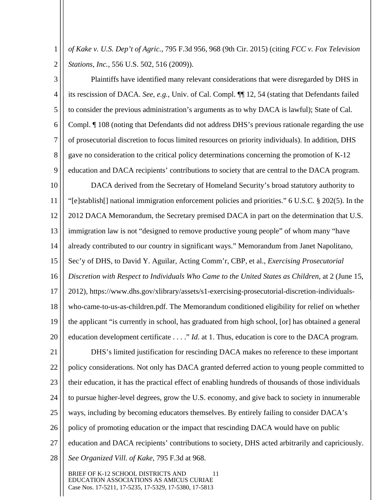1 2 *of Kake v. U.S. Dep't of Agric.*, 795 F.3d 956, 968 (9th Cir. 2015) (citing *FCC v. Fox Television Stations, Inc.*, 556 U.S. 502, 516 (2009)).

3 4 5 6 7 8 9 Plaintiffs have identified many relevant considerations that were disregarded by DHS in its rescission of DACA. *See, e.g.*, Univ. of Cal. Compl. ¶¶ 12, 54 (stating that Defendants failed to consider the previous administration's arguments as to why DACA is lawful); State of Cal. Compl. ¶ 108 (noting that Defendants did not address DHS's previous rationale regarding the use of prosecutorial discretion to focus limited resources on priority individuals). In addition, DHS gave no consideration to the critical policy determinations concerning the promotion of K-12 education and DACA recipients' contributions to society that are central to the DACA program.

10 11 12 13 14 15 16 17 18 19 20 DACA derived from the Secretary of Homeland Security's broad statutory authority to "[e]stablish[] national immigration enforcement policies and priorities." 6 U.S.C. § 202(5). In the 2012 DACA Memorandum, the Secretary premised DACA in part on the determination that U.S. immigration law is not "designed to remove productive young people" of whom many "have already contributed to our country in significant ways." Memorandum from Janet Napolitano, Sec'y of DHS, to David Y. Aguilar, Acting Comm'r, CBP, et al., *Exercising Prosecutorial Discretion with Respect to Individuals Who Came to the United States as Children*, at 2 (June 15, 2012), https://www.dhs.gov/xlibrary/assets/s1-exercising-prosecutorial-discretion-individualswho-came-to-us-as-children.pdf. The Memorandum conditioned eligibility for relief on whether the applicant "is currently in school, has graduated from high school, [or] has obtained a general education development certificate . . . ." *Id*. at 1. Thus, education is core to the DACA program.

21 22 23 24 25 26 27 28 DHS's limited justification for rescinding DACA makes no reference to these important policy considerations. Not only has DACA granted deferred action to young people committed to their education, it has the practical effect of enabling hundreds of thousands of those individuals to pursue higher-level degrees, grow the U.S. economy, and give back to society in innumerable ways, including by becoming educators themselves. By entirely failing to consider DACA's policy of promoting education or the impact that rescinding DACA would have on public education and DACA recipients' contributions to society, DHS acted arbitrarily and capriciously. *See Organized Vill. of Kake*, 795 F.3d at 968.

BRIEF OF K-12 SCHOOL DISTRICTS AND 11 EDUCATION ASSOCIATIONS AS AMICUS CURIAE Case Nos. 17-5211, 17-5235, 17-5329, 17-5380, 17-5813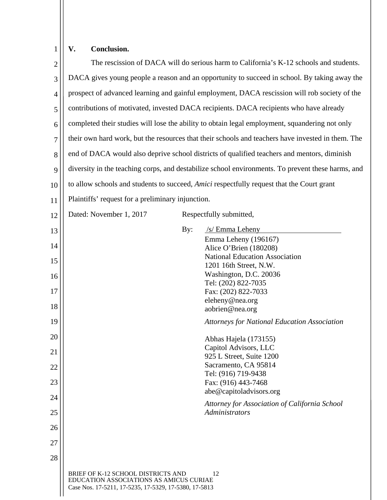# **V. Conclusion.**

| $\overline{2}$ |                                                                                                                                        |     | The rescission of DACA will do serious harm to California's K-12 schools and students.            |
|----------------|----------------------------------------------------------------------------------------------------------------------------------------|-----|---------------------------------------------------------------------------------------------------|
| 3              | DACA gives young people a reason and an opportunity to succeed in school. By taking away the                                           |     |                                                                                                   |
| $\overline{4}$ | prospect of advanced learning and gainful employment, DACA rescission will rob society of the                                          |     |                                                                                                   |
| 5              | contributions of motivated, invested DACA recipients. DACA recipients who have already                                                 |     |                                                                                                   |
| 6              |                                                                                                                                        |     | completed their studies will lose the ability to obtain legal employment, squandering not only    |
| 7              |                                                                                                                                        |     | their own hard work, but the resources that their schools and teachers have invested in them. The |
| 8              |                                                                                                                                        |     | end of DACA would also deprive school districts of qualified teachers and mentors, diminish       |
| 9              |                                                                                                                                        |     | diversity in the teaching corps, and destabilize school environments. To prevent these harms, and |
| 10             |                                                                                                                                        |     | to allow schools and students to succeed, <i>Amici</i> respectfully request that the Court grant  |
| 11             | Plaintiffs' request for a preliminary injunction.                                                                                      |     |                                                                                                   |
| 12             | Dated: November 1, 2017                                                                                                                |     | Respectfully submitted,                                                                           |
| 13             |                                                                                                                                        | By: | /s/ Emma Leheny                                                                                   |
| 14             |                                                                                                                                        |     | Emma Leheny (196167)<br>Alice O'Brien (180208)                                                    |
| 15             |                                                                                                                                        |     | <b>National Education Association</b>                                                             |
| 16             |                                                                                                                                        |     | 1201 16th Street, N.W.<br>Washington, D.C. 20036                                                  |
|                |                                                                                                                                        |     | Tel: (202) 822-7035                                                                               |
| 17             |                                                                                                                                        |     | Fax: (202) 822-7033                                                                               |
| 18             |                                                                                                                                        |     | eleheny@nea.org<br>aobrien@nea.org                                                                |
| 19             |                                                                                                                                        |     | <b>Attorneys for National Education Association</b>                                               |
| 20             |                                                                                                                                        |     | Abhas Hajela (173155)                                                                             |
| 21             |                                                                                                                                        |     | Capitol Advisors, LLC<br>925 L Street, Suite 1200                                                 |
| 22             |                                                                                                                                        |     | Sacramento, CA 95814                                                                              |
|                |                                                                                                                                        |     | Tel: (916) 719-9438                                                                               |
| 23             |                                                                                                                                        |     | Fax: (916) 443-7468<br>abe@capitoladvisors.org                                                    |
| 24             |                                                                                                                                        |     | Attorney for Association of California School<br>Administrators                                   |
| 25             |                                                                                                                                        |     |                                                                                                   |
| 26             |                                                                                                                                        |     |                                                                                                   |
| 27             |                                                                                                                                        |     |                                                                                                   |
| 28             |                                                                                                                                        |     |                                                                                                   |
|                | BRIEF OF K-12 SCHOOL DISTRICTS AND<br>EDUCATION ASSOCIATIONS AS AMICUS CURIAE<br>Case Nos. 17-5211, 17-5235, 17-5329, 17-5380, 17-5813 |     | 12                                                                                                |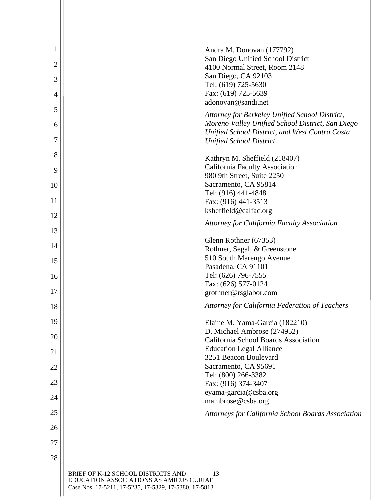| 1<br>$\overline{2}$ | Andra M. Donovan (177792)<br>San Diego Unified School District                                                                                       |
|---------------------|------------------------------------------------------------------------------------------------------------------------------------------------------|
| 3                   | 4100 Normal Street, Room 2148<br>San Diego, CA 92103                                                                                                 |
| 4                   | Tel: (619) 725-5630<br>Fax: (619) 725-5639                                                                                                           |
| 5                   | adonovan@sandi.net                                                                                                                                   |
| 6                   | Attorney for Berkeley Unified School District,<br>Moreno Valley Unified School District, San Diego<br>Unified School District, and West Contra Costa |
| 7                   | <b>Unified School District</b>                                                                                                                       |
| 8                   | Kathryn M. Sheffield (218407)                                                                                                                        |
| 9                   | California Faculty Association<br>980 9th Street, Suite 2250                                                                                         |
| 10                  | Sacramento, CA 95814                                                                                                                                 |
| 11                  | Tel: (916) 441-4848                                                                                                                                  |
|                     | Fax: (916) 441-3513<br>ksheffield@calfac.org                                                                                                         |
| 12                  | <b>Attorney for California Faculty Association</b>                                                                                                   |
| 13                  | Glenn Rothner (67353)                                                                                                                                |
| 14                  | Rothner, Segall & Greenstone                                                                                                                         |
| 15                  | 510 South Marengo Avenue                                                                                                                             |
|                     | Pasadena, CA 91101                                                                                                                                   |
| 16                  | Tel: (626) 796-7555                                                                                                                                  |
|                     | Fax: (626) 577-0124                                                                                                                                  |
| 17                  | grothner@rsglabor.com                                                                                                                                |
| 18                  | Attorney for California Federation of Teachers                                                                                                       |
| 19                  | Elaine M. Yama-Garcia (182210)                                                                                                                       |
| 20                  | D. Michael Ambrose (274952)<br>California School Boards Association                                                                                  |
| 21                  | <b>Education Legal Alliance</b>                                                                                                                      |
| 22                  | 3251 Beacon Boulevard<br>Sacramento, CA 95691                                                                                                        |
| 23                  | Tel: (800) 266-3382<br>Fax: (916) 374-3407                                                                                                           |
| 24                  | eyama-garcia@csba.org                                                                                                                                |
|                     | mambrose@csba.org                                                                                                                                    |
| 25                  | Attorneys for California School Boards Association                                                                                                   |
| 26                  |                                                                                                                                                      |
| 27                  |                                                                                                                                                      |
| 28                  |                                                                                                                                                      |
|                     | BRIEF OF K-12 SCHOOL DISTRICTS AND<br>13<br>EDUCATION ASSOCIATIONS AS AMICUS CURIAE<br>Case Nos. 17-5211, 17-5235, 17-5329, 17-5380, 17-5813         |

 $\overline{\phantom{a}}$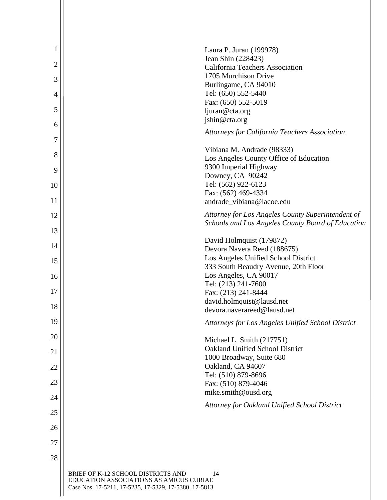| 1              | Laura P. Juran (199978)                                                             |
|----------------|-------------------------------------------------------------------------------------|
| $\overline{c}$ | Jean Shin (228423)                                                                  |
|                | <b>California Teachers Association</b><br>1705 Murchison Drive                      |
| 3              | Burlingame, CA 94010                                                                |
| 4              | Tel: (650) 552-5440<br>Fax: (650) 552-5019                                          |
| 5              | ljuran@cta.org                                                                      |
| 6              | jshin@cta.org                                                                       |
| 7              | <b>Attorneys for California Teachers Association</b>                                |
| 8              | Vibiana M. Andrade (98333)                                                          |
|                | Los Angeles County Office of Education<br>9300 Imperial Highway                     |
| 9              | Downey, CA 90242                                                                    |
| 10             | Tel: (562) 922-6123                                                                 |
| 11             | Fax: (562) 469-4334<br>andrade vibiana@lacoe.edu                                    |
| 12             | Attorney for Los Angeles County Superintendent of                                   |
| 13             | Schools and Los Angeles County Board of Education                                   |
| 14             | David Holmquist (179872)                                                            |
|                | Devora Navera Reed (188675)<br>Los Angeles Unified School District                  |
| 15             | 333 South Beaudry Avenue, 20th Floor                                                |
| 16             | Los Angeles, CA 90017                                                               |
| 17             | Tel: (213) 241-7600                                                                 |
|                | Fax: (213) 241-8444<br>david.holmquist@lausd.net                                    |
| 18             | devora.naverareed@lausd.net                                                         |
| 19             | Attorneys for Los Angeles Unified School District                                   |
| 20             | Michael L. Smith (217751)                                                           |
| 21             | <b>Oakland Unified School District</b>                                              |
|                | 1000 Broadway, Suite 680<br>Oakland, CA 94607                                       |
| 22             | Tel: (510) 879-8696                                                                 |
| 23             | Fax: (510) 879-4046                                                                 |
| 24             | mike.smith@ousd.org                                                                 |
| 25             | Attorney for Oakland Unified School District                                        |
| 26             |                                                                                     |
| 27             |                                                                                     |
| 28             |                                                                                     |
|                | BRIEF OF K-12 SCHOOL DISTRICTS AND<br>14<br>EDUCATION ASSOCIATIONS AS AMICUS CURIAE |

Case Nos. 17-5211, 17-5235, 17-5329, 17-5380, 17-5813

 $\mathbf{I}$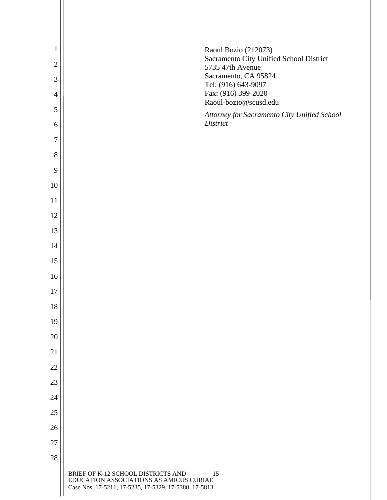| $\mathbf{1}$     | Raoul Bozio (212073)                                                                                                                         |
|------------------|----------------------------------------------------------------------------------------------------------------------------------------------|
| $\overline{2}$   | Sacramento City Unified School District<br>5735 47th Avenue                                                                                  |
| $\mathfrak{Z}$   | Sacramento, CA 95824<br>Tel: (916) 643-9097                                                                                                  |
| $\overline{4}$   | Fax: (916) 399-2020                                                                                                                          |
| 5                | Raoul-bozio@scusd.edu<br>Attorney for Sacramento City Unified School                                                                         |
| 6                | District                                                                                                                                     |
| $\boldsymbol{7}$ |                                                                                                                                              |
| 8                |                                                                                                                                              |
| 9                |                                                                                                                                              |
| 10               |                                                                                                                                              |
| 11               |                                                                                                                                              |
| 12               |                                                                                                                                              |
| 13               |                                                                                                                                              |
| 14               |                                                                                                                                              |
| 15               |                                                                                                                                              |
| 16               |                                                                                                                                              |
| 17               |                                                                                                                                              |
| 18               |                                                                                                                                              |
| 19               |                                                                                                                                              |
| 20               |                                                                                                                                              |
| 21               |                                                                                                                                              |
| 22               |                                                                                                                                              |
| 23               |                                                                                                                                              |
| 24               |                                                                                                                                              |
| 25               |                                                                                                                                              |
| 26               |                                                                                                                                              |
| 27               |                                                                                                                                              |
| 28               |                                                                                                                                              |
|                  | BRIEF OF K-12 SCHOOL DISTRICTS AND<br>15<br>EDUCATION ASSOCIATIONS AS AMICUS CURIAE<br>Case Nos. 17-5211, 17-5235, 17-5329, 17-5380, 17-5813 |